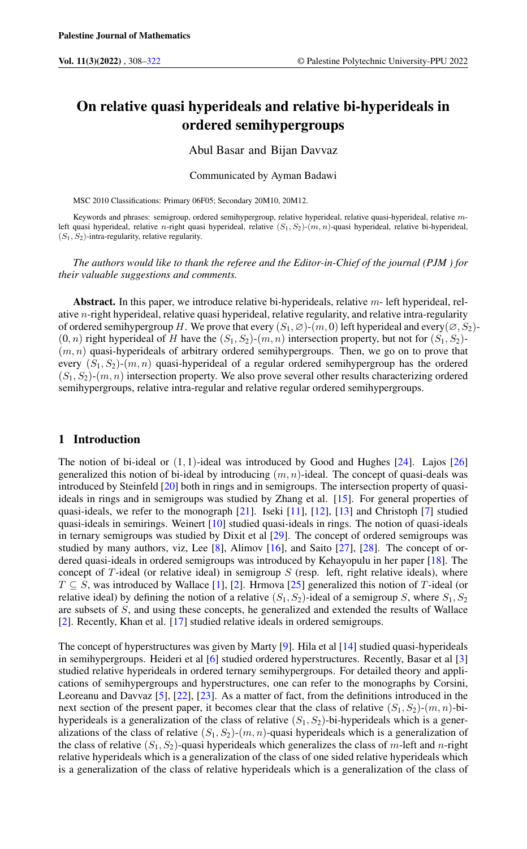# On relative quasi hyperideals and relative bi-hyperideals in ordered semihypergroups

# Abul Basar and Bijan Davvaz

#### Communicated by Ayman Badawi

MSC 2010 Classifications: Primary 06F05; Secondary 20M10, 20M12.

Keywords and phrases: semigroup, ordered semihypergroup, relative hyperideal, relative quasi-hyperideal, relative mleft quasi hyperideal, relative n-right quasi hyperideal, relative  $(S_1, S_2)$ -(m, n)-quasi hyperideal, relative bi-hyperideal,  $(S_1, S_2)$ -intra-regularity, relative regularity.

*The authors would like to thank the referee and the Editor-in-Chief of the journal (PJM ) for their valuable suggestions and comments.*

Abstract. In this paper, we introduce relative bi-hyperideals, relative  $m$ - left hyperideal, relative n-right hyperideal, relative quasi hyperideal, relative regularity, and relative intra-regularity of ordered semihypergroup H. We prove that every  $(S_1, \emptyset)$ - $(m, 0)$  left hyperideal and every $(\emptyset, S_2)$ - $(0, n)$  right hyperideal of H have the  $(S_1, S_2)$ - $(m, n)$  intersection property, but not for  $(S_1, S_2)$ - $(m, n)$  quasi-hyperideals of arbitrary ordered semihypergroups. Then, we go on to prove that every  $(S_1, S_2)$ - $(m, n)$  quasi-hyperideal of a regular ordered semihypergroup has the ordered  $(S_1, S_2)$ - $(m, n)$  intersection property. We also prove several other results characterizing ordered semihypergroups, relative intra-regular and relative regular ordered semihypergroups.

# 1 Introduction

The notion of bi-ideal or  $(1, 1)$ -ideal was introduced by Good and Hughes [\[24\]](#page-14-0). Lajos [\[26\]](#page-14-1) generalized this notion of bi-ideal by introducing  $(m, n)$ -ideal. The concept of quasi-deals was introduced by Steinfeld [\[20\]](#page-14-2) both in rings and in semigroups. The intersection property of quasiideals in rings and in semigroups was studied by Zhang et al. [\[15\]](#page-13-1). For general properties of quasi-ideals, we refer to the monograph [\[21\]](#page-14-3). Iseki [\[11\]](#page-13-2), [\[12\]](#page-13-3), [\[13\]](#page-13-4) and Christoph [\[7\]](#page-13-5) studied quasi-ideals in semirings. Weinert [\[10\]](#page-13-6) studied quasi-ideals in rings. The notion of quasi-ideals in ternary semigroups was studied by Dixit et al [\[29\]](#page-14-4). The concept of ordered semigroups was studied by many authors, viz, Lee [\[8\]](#page-13-7), Alimov [\[16\]](#page-13-8), and Saito [\[27\]](#page-14-5), [\[28\]](#page-14-6). The concept of ordered quasi-ideals in ordered semigroups was introduced by Kehayopulu in her paper [\[18\]](#page-13-9). The concept of T-ideal (or relative ideal) in semigroup  $S$  (resp. left, right relative ideals), where  $T \subseteq S$ , was introduced by Wallace [\[1\]](#page-13-10), [\[2\]](#page-13-11). Hrmova [\[25\]](#page-14-7) generalized this notion of T-ideal (or relative ideal) by defining the notion of a relative  $(S_1, S_2)$ -ideal of a semigroup S, where  $S_1, S_2$ are subsets of S, and using these concepts, he generalized and extended the results of Wallace [\[2\]](#page-13-11). Recently, Khan et al. [\[17\]](#page-13-12) studied relative ideals in ordered semigroups.

The concept of hyperstructures was given by Marty [\[9\]](#page-13-13). Hila et al [\[14\]](#page-13-14) studied quasi-hyperideals in semihypergroups. Heideri et al [\[6\]](#page-13-15) studied ordered hyperstructures. Recently, Basar et al [\[3\]](#page-13-16) studied relative hyperideals in ordered ternary semihypergroups. For detailed theory and applications of semihypergroups and hyperstructures, one can refer to the monographs by Corsini, Leoreanu and Davvaz [\[5\]](#page-13-17), [\[22\]](#page-14-8), [\[23\]](#page-14-9). As a matter of fact, from the definitions introduced in the next section of the present paper, it becomes clear that the class of relative  $(S_1, S_2)$ - $(m, n)$ -bihyperideals is a generalization of the class of relative  $(S_1, S_2)$ -bi-hyperideals which is a generalizations of the class of relative  $(S_1, S_2)$ - $(m, n)$ -quasi hyperideals which is a generalization of the class of relative  $(S_1, S_2)$ -quasi hyperideals which generalizes the class of m-left and n-right relative hyperideals which is a generalization of the class of one sided relative hyperideals which is a generalization of the class of relative hyperideals which is a generalization of the class of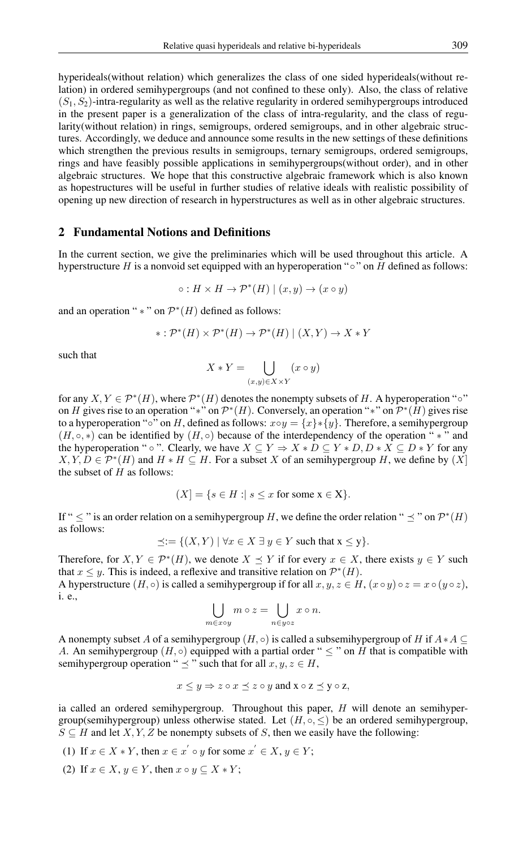hyperideals(without relation) which generalizes the class of one sided hyperideals(without relation) in ordered semihypergroups (and not confined to these only). Also, the class of relative  $(S_1, S_2)$ -intra-regularity as well as the relative regularity in ordered semihypergroups introduced in the present paper is a generalization of the class of intra-regularity, and the class of regularity(without relation) in rings, semigroups, ordered semigroups, and in other algebraic structures. Accordingly, we deduce and announce some results in the new settings of these definitions which strengthen the previous results in semigroups, ternary semigroups, ordered semigroups, rings and have feasibly possible applications in semihypergroups(without order), and in other algebraic structures. We hope that this constructive algebraic framework which is also known as hopestructures will be useful in further studies of relative ideals with realistic possibility of opening up new direction of research in hyperstructures as well as in other algebraic structures.

#### 2 Fundamental Notions and Definitions

In the current section, we give the preliminaries which will be used throughout this article. A hyperstructure H is a nonvoid set equipped with an hyperoperation "∘" on H defined as follows:

$$
\circ: H \times H \to \mathcal{P}^*(H) \mid (x, y) \to (x \circ y)
$$

and an operation "  $*$  " on  $\mathcal{P}^*(H)$  defined as follows:

$$
* : \mathcal{P}^*(H) \times \mathcal{P}^*(H) \to \mathcal{P}^*(H) \mid (X, Y) \to X * Y
$$

such that

$$
X * Y = \bigcup_{(x,y)\in X \times Y} (x \circ y)
$$

for any  $X, Y \in \mathcal{P}^*(H)$ , where  $\mathcal{P}^*(H)$  denotes the nonempty subsets of H. A hyperoperation " $\circ$ " on H gives rise to an operation "\*" on  $\mathcal{P}^*(H)$ . Conversely, an operation "\*" on  $\mathcal{P}^*(H)$  gives rise to a hyperoperation "∘" on H, defined as follows:  $x \circ y = \{x\} * \{y\}$ . Therefore, a semihypergroup  $(H, \circ, *)$  can be identified by  $(H, \circ)$  because of the interdependency of the operation " \* " and the hyperoperation " ◦ ". Clearly, we have  $X \subseteq Y \Rightarrow X * D \subseteq Y * D$ ,  $D * X \subseteq D * Y$  for any  $X, Y, D \in \mathcal{P}^*(H)$  and  $H * H \subseteq H$ . For a subset X of an semihypergroup H, we define by  $(X)$ the subset of  $H$  as follows:

$$
(X] = \{ s \in H : | s \le x \text{ for some } x \in X \}.
$$

If "  $\leq$  " is an order relation on a semihypergroup H, we define the order relation "  $\preceq$  " on  $\mathcal{P}^*(H)$ as follows:

$$
\preceq := \{(X, Y) \mid \forall x \in X \exists y \in Y \text{ such that } x \leq y\}.
$$

Therefore, for  $X, Y \in \mathcal{P}^*(H)$ , we denote  $X \preceq Y$  if for every  $x \in X$ , there exists  $y \in Y$  such that  $x \leq y$ . This is indeed, a reflexive and transitive relation on  $\mathcal{P}^*(H)$ .

A hyperstructure  $(H, \circ)$  is called a semihypergroup if for all  $x, y, z \in H$ ,  $(x \circ y) \circ z = x \circ (y \circ z)$ , i. e.,

$$
\bigcup_{m \in x \circ y} m \circ z = \bigcup_{n \in y \circ z} x \circ n.
$$

A nonempty subset A of a semihypergroup (H, ◦) is called a subsemihypergroup of H if  $A*A\subseteq$ A. An semihypergroup  $(H, \circ)$  equipped with a partial order "  $\leq$  " on H that is compatible with semihypergroup operation "  $\preceq$  " such that for all  $x, y, z \in H$ ,

$$
x \le y \Rightarrow z \circ x \le z \circ y \text{ and } x \circ z \le y \circ z,
$$

ia called an ordered semihypergroup. Throughout this paper,  $H$  will denote an semihypergroup(semihypergroup) unless otherwise stated. Let  $(H, \circ, \leq)$  be an ordered semihypergroup,  $S \subseteq H$  and let X, Y, Z be nonempty subsets of S, then we easily have the following:

- (1) If  $x \in X * Y$ , then  $x \in x' \circ y$  for some  $x' \in X, y \in Y$ ;
- (2) If  $x \in X, y \in Y$ , then  $x \circ y \subseteq X * Y$ ;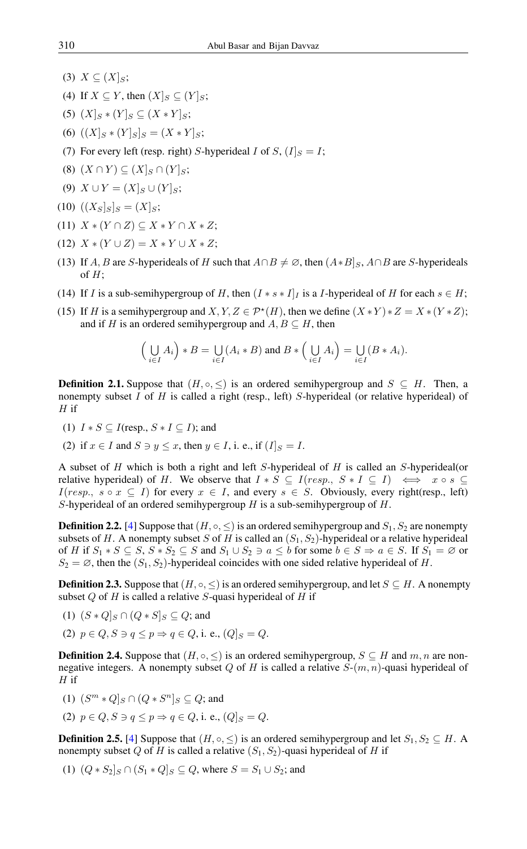- (3)  $X \subseteq (X|_S;$
- (4) If  $X \subseteq Y$ , then  $(X]_S \subseteq (Y]_S$ ;
- (5)  $(X|_S * (Y|_S \subseteq (X * Y|_S;$
- (6)  $((X|_S * (Y|_S)_{S} = (X * Y|_S);$
- (7) For every left (resp. right) S-hyperideal I of S,  $(I|_S = I;$
- $(8)$   $(X \cap Y) \subseteq (X|_S \cap (Y|_S;$
- (9)  $X \cup Y = (X|_S \cup (Y|_S;$
- (10)  $((X_S|_S)_S = (X|_S;$
- (11)  $X * (Y \cap Z) \subseteq X * Y \cap X * Z;$
- (12)  $X * (Y \cup Z) = X * Y \cup X * Z;$
- (13) If A, B are S-hyperideals of H such that  $A \cap B \neq \emptyset$ , then  $(A*B)_S$ ,  $A \cap B$  are S-hyperideals of  $H$ ;
- (14) If I is a sub-semihypergroup of H, then  $(I * s * I]$  is a I-hyperideal of H for each  $s \in H$ ;
- (15) If H is a semihypergroup and  $X, Y, Z \in \mathcal{P}^*(H)$ , then we define  $(X * Y) * Z = X * (Y * Z)$ ; and if H is an ordered semihypergroup and  $A, B \subseteq H$ , then

$$
\Big(\bigcup_{i\in I} A_i\Big)*B = \bigcup_{i\in I} (A_i*B) \text{ and } B*\Big(\bigcup_{i\in I} A_i\Big) = \bigcup_{i\in I} (B*A_i).
$$

**Definition 2.1.** Suppose that  $(H, \circ, \leq)$  is an ordered semihypergroup and  $S \subseteq H$ . Then, a nonempty subset I of H is called a right (resp., left) S-hyperideal (or relative hyperideal) of  $H$  if

- (1)  $I * S \subseteq I$ (resp.,  $S * I \subseteq I$ ); and
- (2) if  $x \in I$  and  $S \ni y \leq x$ , then  $y \in I$ , i. e., if  $[I]_S = I$ .

A subset of  $H$  which is both a right and left  $S$ -hyperideal of  $H$  is called an  $S$ -hyperideal(or relative hyperideal) of H. We observe that  $I * S \subseteq I(resp., S * I \subseteq I) \iff x \circ s \subseteq I$  $I(resp., s \circ x \subseteq I)$  for every  $x \in I$ , and every  $s \in S$ . Obviously, every right(resp., left) S-hyperideal of an ordered semihypergroup  $H$  is a sub-semihypergroup of  $H$ .

**Definition 2.2.** [\[4\]](#page-13-18) Suppose that  $(H, \circ, \leq)$  is an ordered semihypergroup and  $S_1, S_2$  are nonempty subsets of H. A nonempty subset S of H is called an  $(S_1, S_2)$ -hyperideal or a relative hyperideal of H if  $S_1 * S \subseteq S$ ,  $S * S_2 \subseteq S$  and  $S_1 \cup S_2 \ni a \leq b$  for some  $b \in S \Rightarrow a \in S$ . If  $S_1 = \emptyset$  or  $S_2 = \emptyset$ , then the  $(S_1, S_2)$ -hyperideal coincides with one sided relative hyperideal of H.

**Definition 2.3.** Suppose that  $(H, \circ, \leq)$  is an ordered semihypergroup, and let  $S \subseteq H$ . A nonempty subset  $Q$  of H is called a relative S-quasi hyperideal of H if

- (1)  $(S \ast Q]_S \cap (Q \ast S]_S \subseteq Q$ ; and
- (2)  $p \in Q$ ,  $S \ni q \leq p \Rightarrow q \in Q$ , i. e.,  $(Q|S = Q$ .

**Definition 2.4.** Suppose that  $(H, \circ, \leq)$  is an ordered semihypergroup,  $S \subseteq H$  and  $m, n$  are nonnegative integers. A nonempty subset Q of H is called a relative  $S-(m, n)$ -quasi hyperideal of  $H$  if

(1) 
$$
(S^m * Q]_S \cap (Q * S^n]_S \subseteq Q
$$
; and

(2)  $p \in Q$ ,  $S \ni q \leq p \Rightarrow q \in Q$ , i. e.,  $(Q|S = Q$ .

**Definition 2.5.** [\[4\]](#page-13-18) Suppose that  $(H, \circ, \leq)$  is an ordered semihypergroup and let  $S_1, S_2 \subseteq H$ . A nonempty subset Q of H is called a relative  $(S_1, S_2)$ -quasi hyperideal of H if

(1)  $(Q * S_2 |_{S} \cap (S_1 * Q]_{S} \subseteq Q$ , where  $S = S_1 \cup S_2$ ; and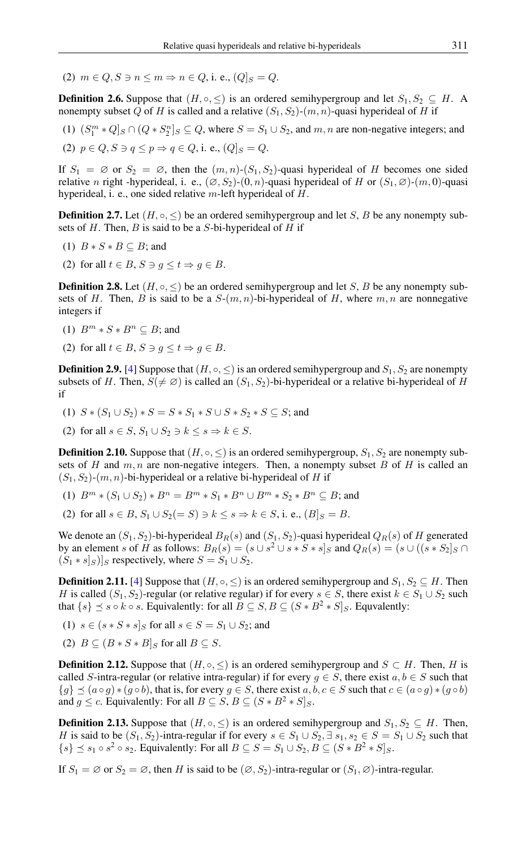(2)  $m \in Q$ ,  $S \ni n \leq m \Rightarrow n \in Q$ , i. e.,  $(Q|S = Q$ .

**Definition 2.6.** Suppose that  $(H, \circ, \leq)$  is an ordered semihypergroup and let  $S_1, S_2 \subseteq H$ . A nonempty subset Q of H is called and a relative  $(S_1, S_2)$ - $(m, n)$ -quasi hyperideal of H if

(1)  $(S_1^m * Q]_S \cap (Q * S_2^n]_S \subseteq Q$ , where  $S = S_1 \cup S_2$ , and  $m, n$  are non-negative integers; and (2)  $p \in Q$ ,  $S \ni q \leq p \Rightarrow q \in Q$ , i. e.,  $(Q|S = Q$ .

If  $S_1 = \emptyset$  or  $S_2 = \emptyset$ , then the  $(m, n)$ - $(S_1, S_2)$ -quasi hyperideal of H becomes one sided relative n right -hyperideal, i. e.,  $(\emptyset, S_2)$ - $(0, n)$ -quasi hyperideal of H or  $(S_1, \emptyset)$ - $(m, 0)$ -quasi hyperideal, i. e., one sided relative m-left hyperideal of H.

**Definition 2.7.** Let  $(H, \circ, \leq)$  be an ordered semihypergroup and let S, B be any nonempty subsets of  $H$ . Then,  $B$  is said to be a  $S$ -bi-hyperideal of  $H$  if

- (1)  $B * S * B \subseteq B$ ; and
- (2) for all  $t \in B$ ,  $S \ni g \leq t \Rightarrow g \in B$ .

**Definition 2.8.** Let  $(H, \circ, \leq)$  be an ordered semihypergroup and let S, B be any nonempty subsets of H. Then, B is said to be a  $S-(m, n)$ -bi-hyperideal of H, where  $m, n$  are nonnegative integers if

- (1)  $B^m * S * B^n \subseteq B$ ; and
- (2) for all  $t \in B$ ,  $S \ni q \leq t \Rightarrow q \in B$ .

**Definition 2.9.** [\[4\]](#page-13-18) Suppose that  $(H, \circ, \leq)$  is an ordered semihypergroup and  $S_1, S_2$  are nonempty subsets of H. Then,  $S(\neq \emptyset)$  is called an  $(S_1, S_2)$ -bi-hyperideal or a relative bi-hyperideal of H if

- (1)  $S * (S_1 \cup S_2) * S = S * S_1 * S \cup S * S_2 * S \subseteq S$ ; and
- (2) for all  $s \in S$ ,  $S_1 \cup S_2 \ni k \leq s \Rightarrow k \in S$ .

**Definition 2.10.** Suppose that  $(H, \circ, \leq)$  is an ordered semihypergroup,  $S_1, S_2$  are nonempty subsets of H and  $m, n$  are non-negative integers. Then, a nonempty subset B of H is called an  $(S_1, S_2)$ - $(m, n)$ -bi-hyperideal or a relative bi-hyperideal of H if

- (1)  $B^m * (S_1 \cup S_2) * B^n = B^m * S_1 * B^n \cup B^m * S_2 * B^n \subseteq B$ ; and
- (2) for all  $s \in B$ ,  $S_1 \cup S_2(=S) \ni k \leq s \Rightarrow k \in S$ , i. e.,  $(B|_S = B$ .

We denote an  $(S_1, S_2)$ -bi-hyperideal  $B_R(s)$  and  $(S_1, S_2)$ -quasi hyperideal  $Q_R(s)$  of H generated by an element s of H as follows:  $B_R(s) = (s \cup s^2 \cup s * S * s]_S$  and  $Q_R(s) = (s \cup ((s * S_2]_S \cap S_1))$  $(S_1 * s|_S)|_S$  respectively, where  $S = S_1 \cup S_2$ .

**Definition 2.11.** [\[4\]](#page-13-18) Suppose that  $(H, \circ, \leq)$  is an ordered semihypergroup and  $S_1, S_2 \subseteq H$ . Then H is called  $(S_1, S_2)$ -regular (or relative regular) if for every  $s \in S$ , there exist  $k \in S_1 \cup S_2$  such that  $\{s\} \preceq s \circ k \circ s$ . Equivalently: for all  $B \subseteq S$ ,  $B \subseteq (S * B^2 * S]_S$ . Equvalently:

- (1)  $s \in (s * S * s]_S$  for all  $s \in S = S_1 \cup S_2$ ; and
- (2)  $B \subseteq (B * S * B]_S$  for all  $B \subseteq S$ .

**Definition 2.12.** Suppose that  $(H, \circ, \leq)$  is an ordered semihypergroup and  $S \subset H$ . Then, H is called S-intra-regular (or relative intra-regular) if for every  $g \in S$ , there exist  $a, b \in S$  such that  $\{g\} \preceq (a \circ g) * (g \circ b)$ , that is, for every  $g \in S$ , there exist  $a, b, c \in S$  such that  $c \in (a \circ g) * (g \circ b)$ and  $g \leq c$ . Equivalently: For all  $B \subseteq S$ ,  $B \subseteq (S * B^2 * S]_S$ .

**Definition 2.13.** Suppose that  $(H, \circ, \leq)$  is an ordered semihypergroup and  $S_1, S_2 \subseteq H$ . Then, H is said to be  $(S_1, S_2)$ -intra-regular if for every  $s \in S_1 \cup S_2$ ,  $\exists s_1, s_2 \in S = S_1 \cup S_2$  such that  $\{s\} \preceq s_1 \circ s^2 \circ s_2$ . Equivalently: For all  $B \subseteq S = S_1 \cup S_2$ ,  $B \subseteq (S * B^2 * S]_S$ .

If  $S_1 = \emptyset$  or  $S_2 = \emptyset$ , then H is said to be  $(\emptyset, S_2)$ -intra-regular or  $(S_1, \emptyset)$ -intra-regular.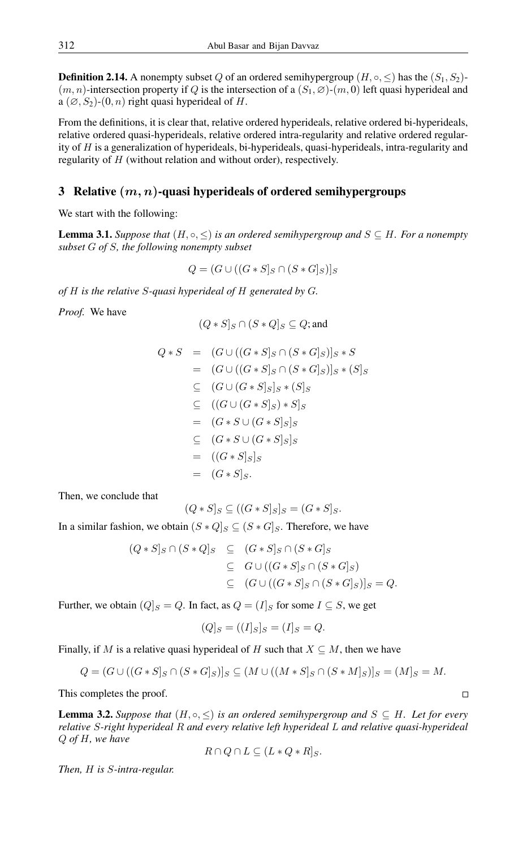**Definition 2.14.** A nonempty subset Q of an ordered semihypergroup  $(H, \circ, \leq)$  has the  $(S_1, S_2)$ - $(m, n)$ -intersection property if Q is the intersection of a  $(S_1, \emptyset)$ - $(m, 0)$  left quasi hyperideal and a  $(\emptyset, S_2)$ - $(0, n)$  right quasi hyperideal of H.

From the definitions, it is clear that, relative ordered hyperideals, relative ordered bi-hyperideals, relative ordered quasi-hyperideals, relative ordered intra-regularity and relative ordered regularity of  $H$  is a generalization of hyperideals, bi-hyperideals, quasi-hyperideals, intra-regularity and regularity of H (without relation and without order), respectively.

# 3 Relative  $(m, n)$ -quasi hyperideals of ordered semihypergroups

We start with the following:

**Lemma 3.1.** *Suppose that*  $(H, \circ, \leq)$  *is an ordered semihypergroup and*  $S \subseteq H$ *. For a nonempty subset* G *of* S*, the following nonempty subset*

$$
Q = (G \cup ((G * S)_{S} \cap (S * G)_{S})]_{S}
$$

*of* H *is the relative* S*-quasi hyperideal of* H *generated by* G*.*

*Proof.* We have

$$
(Q * S]_S \cap (S * Q]_S \subseteq Q
$$
; and

$$
Q * S = (G \cup ((G * S]_S \cap (S * G]_S)]_S * S
$$
  
\n
$$
= (G \cup ((G * S]_S \cap (S * G]_S)]_S * (S]_S
$$
  
\n
$$
\subseteq (G \cup (G * S]_S]_S * (S]_S
$$
  
\n
$$
\subseteq ((G \cup (G * S]_S) * S]_S
$$
  
\n
$$
= (G * S \cup (G * S]_S]_S
$$
  
\n
$$
= ((G * S]_S)_S
$$
  
\n
$$
= (G * S]_S.
$$

Then, we conclude that

$$
(Q * S]_S \subseteq ((G * S]_S]_S = (G * S]_S.
$$

In a similar fashion, we obtain  $(S * Q]_S \subseteq (S * G]_S$ . Therefore, we have

$$
(Q * S]_S \cap (S * Q]_S \subseteq (G * S]_S \cap (S * G]_S
$$
  
\n
$$
\subseteq G \cup ((G * S]_S \cap (S * G]_S)
$$
  
\n
$$
\subseteq (G \cup ((G * S]_S \cap (S * G]_S)]_S = Q.
$$

Further, we obtain  $(Q|_S = Q)$ . In fact, as  $Q = (I|_S \text{ for some } I \subseteq S)$ , we get

$$
(Q]_S = ((I]_S]_S = (I]_S = Q.
$$

Finally, if M is a relative quasi hyperideal of H such that  $X \subseteq M$ , then we have

$$
Q = (G \cup ((G * S)_{S} \cap (S * G)_{S})]_{S} \subseteq (M \cup ((M * S)_{S} \cap (S * M)_{S})]_{S} = (M)_{S} = M.
$$

This completes the proof.

**Lemma 3.2.** *Suppose that*  $(H, \circ, \leq)$  *is an ordered semihypergroup and*  $S \subseteq H$ *. Let for every relative* S*-right hyperideal* R *and every relative left hyperideal* L *and relative quasi-hyperideal* Q *of* H*, we have*

$$
R \cap Q \cap L \subseteq (L \ast Q \ast R]_S.
$$

*Then,* H *is* S*-intra-regular.*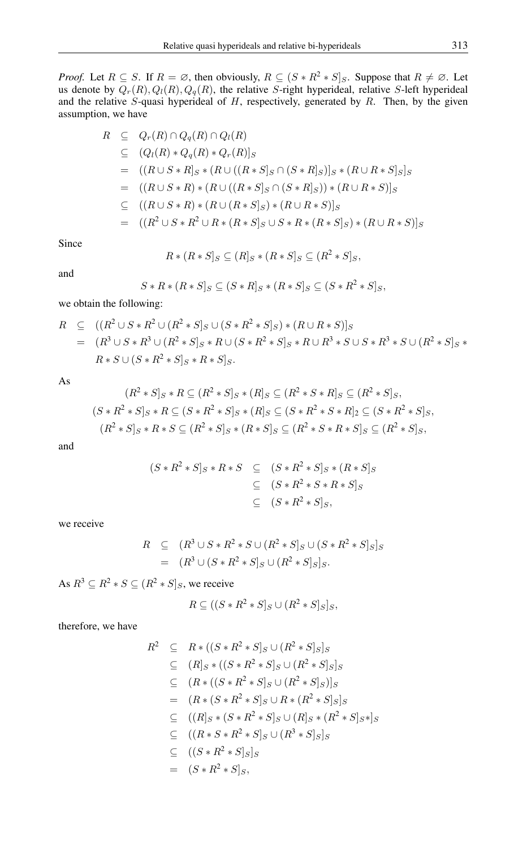*Proof.* Let  $R \subseteq S$ . If  $R = \emptyset$ , then obviously,  $R \subseteq (S * R^2 * S]_S$ . Suppose that  $R \neq \emptyset$ . Let us denote by  $Q_r(R)$ ,  $Q_l(R)$ ,  $Q_q(R)$ , the relative S-right hyperideal, relative S-left hyperideal and the relative S-quasi hyperideal of  $H$ , respectively, generated by  $R$ . Then, by the given assumption, we have

$$
R \subseteq Q_r(R) \cap Q_q(R) \cap Q_l(R)
$$
  
\n
$$
\subseteq (Q_l(R) * Q_q(R) * Q_r(R)]_S
$$
  
\n
$$
= ((R \cup S * R]_S * (R \cup ((R * S]_S \cap (S * R]_S))_S * (R \cup R * S]_S)_S
$$
  
\n
$$
= ((R \cup S * R) * (R \cup ((R * S]_S \cap (S * R]_S)) * (R \cup R * S)]_S
$$
  
\n
$$
\subseteq ((R \cup S * R) * (R \cup (R * S]_S) * (R \cup R * S)]_S
$$
  
\n
$$
= ((R^2 \cup S * R^2 \cup R * (R * S]_S) \cup S * R * (R * S]_S) * (R \cup R * S)]_S
$$

Since

$$
R * (R * S]_S \subseteq (R]_S * (R * S]_S \subseteq (R^2 * S]_S,
$$

and

$$
S * R * (R * S]_S \subseteq (S * R]_S * (R * S]_S \subseteq (S * R^2 * S]_S,
$$

we obtain the following:

$$
R \subseteq ((R^2 \cup S * R^2 \cup (R^2 * S)_S \cup (S * R^2 * S)_S) * (R \cup R * S)]_S
$$
  
=  $(R^3 \cup S * R^3 \cup (R^2 * S)_S * R \cup (S * R^2 * S)_S * R \cup R^3 * S \cup S * R^3 * S \cup (R^2 * S)_S * R * S \cup (S * R^2 * S]_S * R * S]_S.$ 

As

$$
(R^2 * S]_S * R \subseteq (R^2 * S]_S * (R]_S \subseteq (R^2 * S * R]_S \subseteq (R^2 * S]_S,
$$
  

$$
(S * R^2 * S]_S * R \subseteq (S * R^2 * S]_S * (R]_S \subseteq (S * R^2 * S * R]_2 \subseteq (S * R^2 * S]_S,
$$
  

$$
(R^2 * S]_S * R * S \subseteq (R^2 * S]_S * (R * S]_S \subseteq (R^2 * S * R * S]_S \subseteq (R^2 * S]_S,
$$

and

$$
(S * R2 * S]_S * R * S \subseteq (S * R2 * S]_S * (R * S]_S
$$
  
\n
$$
\subseteq (S * R2 * S * R * S]_S
$$
  
\n
$$
\subseteq (S * R2 * S]_S,
$$

we receive

$$
R \subseteq (R^3 \cup S * R^2 * S \cup (R^2 * S]_S \cup (S * R^2 * S]_S]_S
$$
  
= 
$$
(R^3 \cup (S * R^2 * S]_S \cup (R^2 * S]_S]_S.
$$

As  $R^3 \subseteq R^2 * S \subseteq (R^2 * S]_S$ , we receive

$$
R \subseteq ((S * R^2 * S]_S \cup (R^2 * S]_S]_S,
$$

therefore, we have

$$
R^2 \subseteq R * ((S * R^2 * S]_S \cup (R^2 * S]_S]_S
$$
  
\n
$$
\subseteq (R]_S * ((S * R^2 * S]_S \cup (R^2 * S]_S]_S
$$
  
\n
$$
\subseteq (R * ((S * R^2 * S]_S \cup (R^2 * S]_S)]_S
$$
  
\n
$$
= (R * (S * R^2 * S]_S \cup R * (R^2 * S]_S]_S
$$
  
\n
$$
\subseteq ((R]_S * (S * R^2 * S]_S \cup (R]_S * (R^2 * S]_S *]_S
$$
  
\n
$$
\subseteq ((R * S * R^2 * S]_S \cup (R^3 * S]_S]_S
$$
  
\n
$$
\subseteq ((S * R^2 * S]_S)
$$
  
\n
$$
= (S * R^2 * S]_S,
$$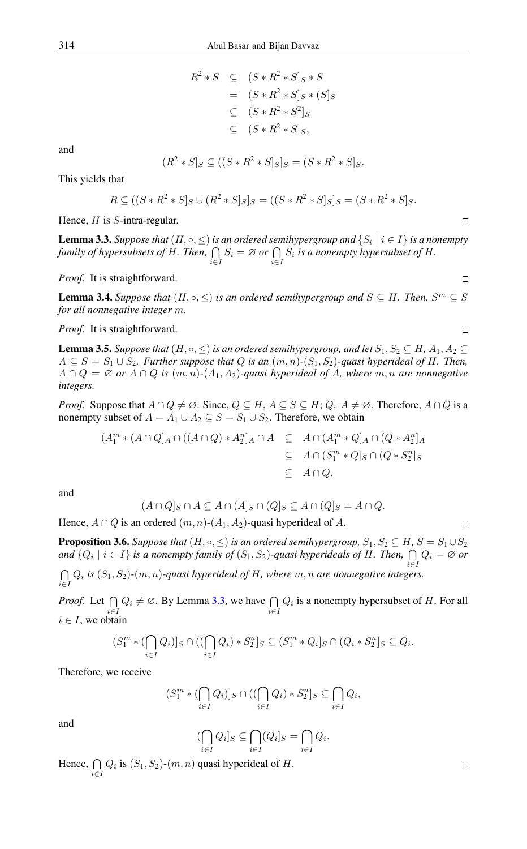$$
R^2 * S \subseteq (S * R^2 * S]_S * S
$$
  
=  $(S * R^2 * S]_S * (S]_S$   
 $\subseteq (S * R^2 * S^2]_S$   
 $\subseteq (S * R^2 * S]_S$ ,

and

$$
(R^2 * S]_S \subseteq ((S * R^2 * S]_S]_S = (S * R^2 * S]_S.
$$

This yields that

$$
R \subseteq ((S * R2 * S]_S \cup (R2 * S]_S]_S = ((S * R2 * S]_S]_S = (S * R2 * S]_S.
$$

Hence,  $H$  is  $S$ -intra-regular.

<span id="page-6-0"></span>**Lemma 3.3.** Suppose that  $(H, \circ, \leq)$  is an ordered semihypergroup and  $\{S_i \mid i \in I\}$  is a nonempty *family of hypersubsets of* H*. Then,* T  $\bigcap_{i\in I} S_i = \emptyset$  or  $\bigcap_{i\in I} S_i$  is a nonempty hypersubset of H.

*Proof.* It is straightforward.

<span id="page-6-1"></span>**Lemma 3.4.** Suppose that  $(H, \circ, \leq)$  is an ordered semihypergroup and  $S \subseteq H$ . Then,  $S^m \subseteq S$ *for all nonnegative integer* m*.*

*Proof.* It is straightforward.

**Lemma 3.5.** *Suppose that*  $(H, \circ, \leq)$  *is an ordered semihypergroup, and let*  $S_1, S_2 \subseteq H$ ,  $A_1, A_2 \subseteq$  $A ⊆ S = S<sub>1</sub> ∪ S<sub>2</sub>$ *. Further suppose that Q is an*  $(m, n)$ - $(S<sub>1</sub>, S<sub>2</sub>)$ -quasi hyperideal of H. Then,  $A \cap Q = \emptyset$  or  $A \cap Q$  is  $(m, n)$ - $(A_1, A_2)$ -quasi hyperideal of A, where  $m, n$  are nonnegative *integers.*

*Proof.* Suppose that  $A \cap Q \neq \emptyset$ . Since,  $Q \subseteq H$ ,  $A \subseteq S \subseteq H$ ;  $Q$ ,  $A \neq \emptyset$ . Therefore,  $A \cap Q$  is a nonempty subset of  $A = A_1 \cup A_2 \subseteq S = S_1 \cup S_2$ . Therefore, we obtain

$$
(A_1^m * (A \cap Q)_A \cap ((A \cap Q) * A_2^n)_A \cap A \subseteq A \cap (A_1^m * Q)_A \cap (Q * A_2^n)_A
$$
  
\n
$$
\subseteq A \cap (S_1^m * Q]_S \cap (Q * S_2^n)_S
$$
  
\n
$$
\subseteq A \cap Q.
$$

and

$$
(A \cap Q]_S \cap A \subseteq A \cap (A]_S \cap (Q]_S \subseteq A \cap (Q]_S = A \cap Q.
$$

Hence,  $A \cap Q$  is an ordered  $(m, n)$ - $(A_1, A_2)$ -quasi hyperideal of A.

**Proposition 3.6.** *Suppose that*  $(H, \circ, \leq)$  *is an ordered semihypergroup,*  $S_1, S_2 \subseteq H$ ,  $S = S_1 \cup S_2$ and  $\{Q_i \mid i \in I\}$  is a nonempty family of  $(S_1, S_2)$ -quasi hyperideals of H. Then,  $\bigcap Q_i = \emptyset$  or  $\bigcap Q_i$  is  $(S_1, S_2)$ - $(m, n)$ -quasi hyperideal of H, where  $m, n$  are nonnegative integer. i∈I Qi *is* (S1, S2)*-*(m, n)*-quasi hyperideal of* H*, where* m, n *are nonnegative integers.*

*Proof.* Let  $\bigcap_{i \in I} Q_i \neq \emptyset$ . By Lemma [3.3,](#page-6-0) we have  $\bigcap_{i \in I} Q_i$  is a nonempty hypersubset of H. For all  $i \in I$ , we obtain

$$
(S_1^m * (\bigcap_{i \in I} Q_i)]_S \cap ((\bigcap_{i \in I} Q_i) * S_2^n]_S \subseteq (S_1^m * Q_i]_S \cap (Q_i * S_2^n]_S \subseteq Q_i.
$$

Therefore, we receive

$$
(S_1^m * (\bigcap_{i \in I} Q_i)]_S \cap ((\bigcap_{i \in I} Q_i) * S_2^n]_S \subseteq \bigcap_{i \in I} Q_i,
$$

and

$$
(\bigcap_{i\in I} Q_i]_S\subseteq \bigcap_{i\in I} (Q_i]_S=\bigcap_{i\in I} Q_i.
$$

Hence,  $\bigcap_{i \in I} Q_i$  is  $(S_1, S_2)$ - $(m, n)$  quasi hyperideal of H.

 $\Box$ 

 $\Box$ 

 $\Box$ 

 $\Box$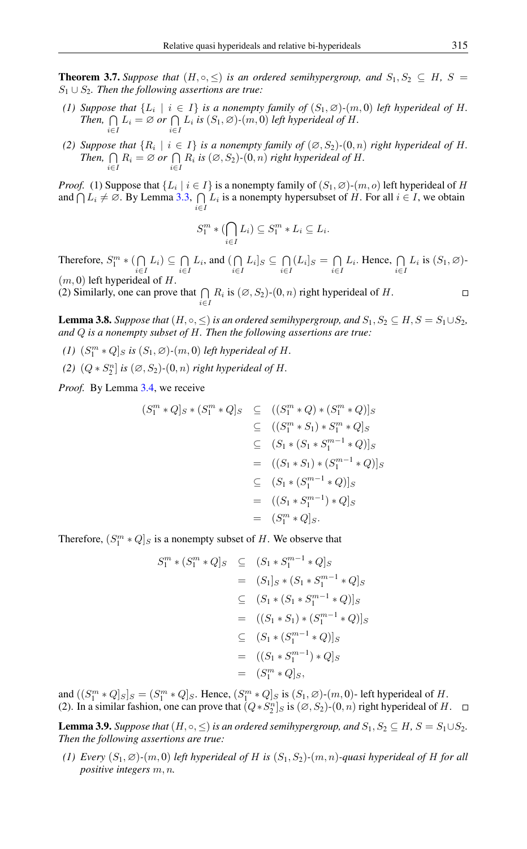**Theorem 3.7.** *Suppose that*  $(H, \circ, \leq)$  *is an ordered semihypergroup, and*  $S_1, S_2 \subseteq H$ ,  $S =$ S<sup>1</sup> ∪ S2*. Then the following assertions are true:*

- *(1) Suppose that*  $\{L_i \mid i \in I\}$  *is a nonempty family of*  $(S_1, \emptyset)$ *-*(*m, 0) left hyperideal of H. Then,*  $\bigcap$  $\bigcap_{i\in I} L_i = \emptyset$  or  $\bigcap_{i\in I} L_i$  is  $(S_1, \emptyset)$ *-*(*m, 0) left hyperideal of H.*
- *(2) Suppose that*  ${R_i \mid i \in I}$  *is a nonempty family of*  $(\emptyset, S_2)$ - $(0, n)$  *right hyperideal of H. Then,*  $\bigcap$  $\bigcap_{i\in I} R_i = \emptyset$  or  $\bigcap_{i\in I} R_i$  is  $(\emptyset, S_2)$ - $(0, n)$  right hyperideal of H.

*Proof.* (1) Suppose that  $\{L_i \mid i \in I\}$  is a nonempty family of  $(S_1, \emptyset)$ - $(m, o)$  left hyperideal of H and  $\bigcap L_i \neq \emptyset$ . By Lemma [3.3,](#page-6-0)  $\bigcap$  $\bigcap_{i\in I} L_i$  is a nonempty hypersubset of H. For all  $i \in I$ , we obtain

$$
S_1^m * (\bigcap_{i \in I} L_i) \subseteq S_1^m * L_i \subseteq L_i.
$$

Therefore,  $S_1^m * (\bigcap$  $\bigcap_{i\in I} L_i) \subseteq \bigcap_{i\in I}$  $\bigcap_{i\in I} L_i$ , and  $\bigcap_{i\in I}$  $\bigcap_{i\in I} L_i$   $\subseteq \bigcap_{i\in I}$  $\bigcap_{i\in I} (L_i]_S = \bigcap_{i\in I}$  $\bigcap_{i\in I} L_i$ . Hence,  $\bigcap_{i\in I} L_i$  is  $(S_1, \emptyset)$ - $(m, 0)$  left hyperideal of H.

(2) Similarly, one can prove that  $\bigcap_{i \in I} R_i$  is  $(\emptyset, S_2)$ - $(0, n)$  right hyperideal of H.

<span id="page-7-0"></span>**Lemma 3.8.** *Suppose that*  $(H, \circ, \leq)$  *is an ordered semihypergroup, and*  $S_1, S_2 \subseteq H, S = S_1 \cup S_2$ *, and* Q *is a nonempty subset of* H*. Then the following assertions are true:*

- (1)  $(S_1^m * Q]_S$  *is*  $(S_1, \emptyset)$ - $(m, 0)$  *left hyperideal of H*.
- (2)  $(Q * S_2^n]$  *is*  $(\emptyset, S_2)$ - $(0, n)$  *right hyperideal of H*.

*Proof.* By Lemma [3.4,](#page-6-1) we receive

$$
(S_1^m * Q]_S * (S_1^m * Q]_S \subseteq ((S_1^m * Q) * (S_1^m * Q)]_S
$$
  
\n
$$
\subseteq ((S_1^m * S_1) * S_1^m * Q]_S
$$
  
\n
$$
\subseteq (S_1 * (S_1 * S_1^{m-1} * Q)]_S
$$
  
\n
$$
= ((S_1 * S_1) * (S_1^{m-1} * Q)]_S
$$
  
\n
$$
\subseteq (S_1 * (S_1^{m-1} * Q)]_S
$$
  
\n
$$
= ((S_1 * S_1^{m-1}) * Q]_S
$$
  
\n
$$
= (S_1^m * Q]_S.
$$

Therefore,  $(S_1^m * Q]_S$  is a nonempty subset of H. We observe that

$$
S_1^m * (S_1^m * Q]_S \subseteq (S_1 * S_1^{m-1} * Q]_S
$$
  
=  $(S_1]_S * (S_1 * S_1^{m-1} * Q]_S$   
 $\subseteq (S_1 * (S_1 * S_1^{m-1} * Q)]_S$   
=  $((S_1 * S_1) * (S_1^{m-1} * Q)]_S$   
 $\subseteq (S_1 * (S_1^{m-1} * Q)]_S$   
=  $((S_1 * S_1^{m-1}) * Q]_S$   
=  $(S_1^m * Q]_S$ ,

and  $((S_1^m * Q]_S]_S = (S_1^m * Q]_S$ . Hence,  $(S_1^m * Q]_S$  is  $(S_1, \emptyset)$ - $(m, 0)$ - left hyperideal of H. (2). In a similar fashion, one can prove that  $(Q * S_2^n]_S$  is  $(\emptyset, S_2)$ - $(0, n)$  right hyperideal of H.

<span id="page-7-1"></span>**Lemma 3.9.** *Suppose that*  $(H, \circ, \leq)$  *is an ordered semihypergroup, and*  $S_1, S_2 \subseteq H$ ,  $S = S_1 \cup S_2$ *. Then the following assertions are true:*

*(1) Every*  $(S_1, \emptyset)$ *-*(m, 0) *left hyperideal of H is*  $(S_1, S_2)$ *-*(m, n)*-quasi hyperideal of H for all positive integers* m, n*.*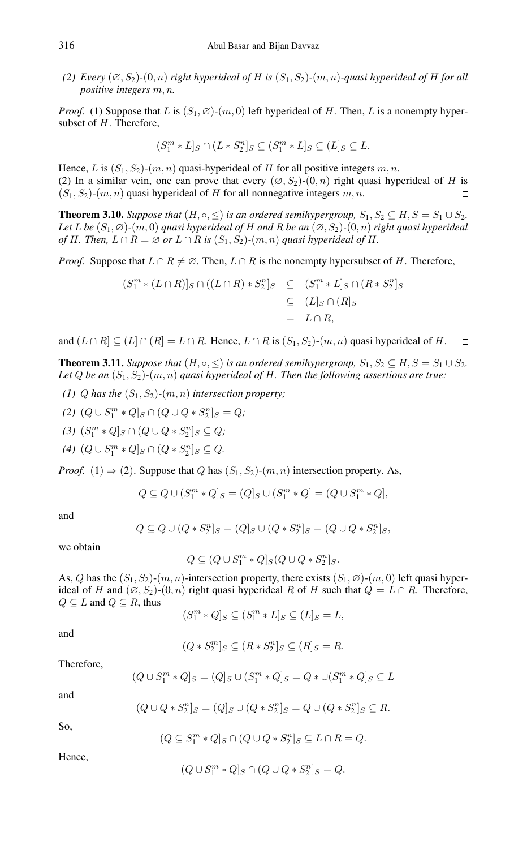(2) *Every*  $(\emptyset, S_2)$ - $(0, n)$  *right hyperideal of H is*  $(S_1, S_2)$ - $(m, n)$ -quasi *hyperideal of H for all positive integers* m, n*.*

*Proof.* (1) Suppose that L is  $(S_1, \emptyset)$ - $(m, 0)$  left hyperideal of H. Then, L is a nonempty hypersubset of H. Therefore,

$$
(S_1^m * L]_S \cap (L * S_2^n]_S \subseteq (S_1^m * L]_S \subseteq (L]_S \subseteq L.
$$

Hence, L is  $(S_1, S_2)$ - $(m, n)$  quasi-hyperideal of H for all positive integers  $m, n$ . (2) In a similar vein, one can prove that every  $(\emptyset, S_2)$ - $(0, n)$  right quasi hyperideal of H is  $(S_1, S_2)$ - $(m, n)$  quasi hyperideal of H for all nonnegative integers  $m, n$ .  $\Box$ 

<span id="page-8-1"></span>**Theorem 3.10.** *Suppose that*  $(H, \circ, \leq)$  *is an ordered semihypergroup,*  $S_1, S_2 \subseteq H, S = S_1 \cup S_2$ . *Let* L *be*  $(S_1, \emptyset)$ - $(m, 0)$  *quasi hyperideal of H and R be an*  $(\emptyset, S_2)$ - $(0, n)$  *right quasi hyperideal of* H. Then,  $L \cap R = \emptyset$  *or*  $L \cap R$  *is*  $(S_1, S_2)$ *-* $(m, n)$  *quasi hyperideal of* H.

*Proof.* Suppose that  $L \cap R \neq \emptyset$ . Then,  $L \cap R$  is the nonempty hypersubset of H. Therefore,

$$
(S_1^m * (L \cap R)]_S \cap ((L \cap R) * S_2^n]_S \subseteq (S_1^m * L]_S \cap (R * S_2^n]_S
$$
  
\n
$$
\subseteq (L]_S \cap (R]_S
$$
  
\n
$$
= L \cap R,
$$

and  $(L \cap R] \subseteq (L \cap (R) = L \cap R$ . Hence,  $L \cap R$  is  $(S_1, S_2)$ - $(m, n)$  quasi hyperideal of H.  $\Box$ 

<span id="page-8-0"></span>**Theorem 3.11.** *Suppose that*  $(H, \circ, \leq)$  *is an ordered semihypergroup,*  $S_1, S_2 \subseteq H, S = S_1 \cup S_2$ *.* Let  $Q$  *be an*  $(S_1, S_2)$ - $(m, n)$  *quasi hyperideal of H. Then the following assertions are true:* 

*(1) Q* has the  $(S_1, S_2)$ - $(m, n)$  intersection property;

$$
(2) (Q \cup S_1^m * Q]_S \cap (Q \cup Q * S_2^n]_S = Q;
$$

 $(3)$   $(S_1^m * Q]_S \cap (Q \cup Q * S_2^n]_S \subseteq Q;$ 

 $(4)$   $(Q ∪ S<sub>1</sub><sup>m</sup> * Q]<sub>S</sub> ∩ (Q * S<sub>2</sub><sup>n</sup>)<sub>S</sub> ⊆ Q.$ 

*Proof.* (1)  $\Rightarrow$  (2). Suppose that Q has  $(S_1, S_2)$ - $(m, n)$  intersection property. As,

$$
Q \subseteq Q \cup (S_1^m * Q]_S = (Q]_S \cup (S_1^m * Q] = (Q \cup S_1^m * Q],
$$

and

$$
Q \subseteq Q \cup (Q * S_2^n | S = (Q]_S \cup (Q * S_2^n | S = (Q \cup Q * S_2^n | S,
$$

we obtain

$$
Q\subseteq (Q\cup S^m_1*Q]_S(Q\cup Q*S^n_2]_S.
$$

As, Q has the  $(S_1, S_2)$ - $(m, n)$ -intersection property, there exists  $(S_1, \emptyset)$ - $(m, 0)$  left quasi hyperideal of H and  $(\emptyset, S_2)$ - $(0, n)$  right quasi hyperideal R of H such that  $Q = L \cap R$ . Therefore,  $Q \subseteq L$  and  $Q \subseteq R$ , thus

$$
(S_1^m * Q]_S \subseteq (S_1^m * L]_S \subseteq (L]_S = L,
$$

and

$$
(Q * S_2^m]_S \subseteq (R * S_2^n]_S \subseteq (R]_S = R.
$$

Therefore,

$$
(Q \cup S_1^m * Q]_S = (Q]_S \cup (S_1^m * Q]_S = Q * \cup (S_1^m * Q]_S \subseteq L
$$

and

$$
(Q \cup Q \ast S_2^n]_S = (Q]_S \cup (Q \ast S_2^n]_S = Q \cup (Q \ast S_2^n]_S \subseteq R.
$$

So,

$$
(Q \subseteq S_1^m * Q]_S \cap (Q \cup Q * S_2^n]_S \subseteq L \cap R = Q.
$$

Hence,

$$
(Q \cup S_1^m * Q]_S \cap (Q \cup Q * S_2^n]_S = Q.
$$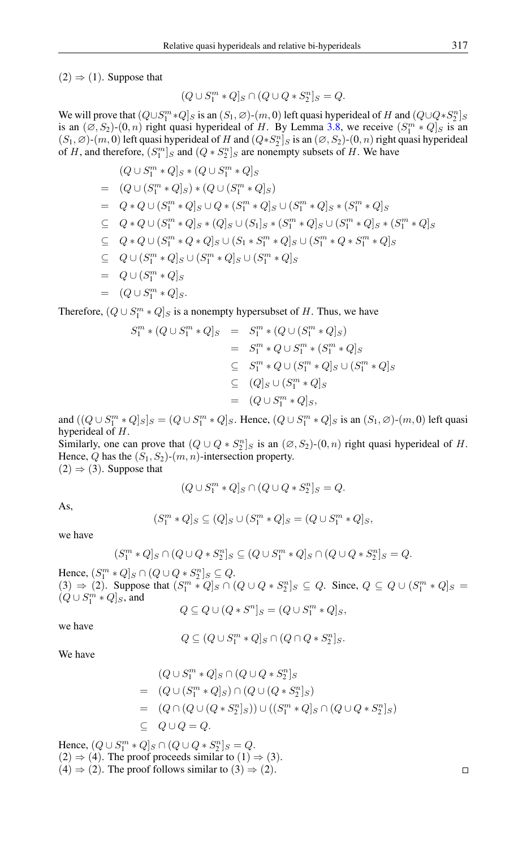$(2) \Rightarrow (1)$ . Suppose that

$$
(Q \cup S_1^m * Q]_S \cap (Q \cup Q * S_2^n]_S = Q.
$$

We will prove that  $(Q \cup S_1^m * Q]_S$  is an  $(S_1, \emptyset)$ - $(m, 0)$  left quasi hyperideal of H and  $(Q \cup Q * S_2^n]_S$ is an  $(\emptyset, S_2)$ - $(0, n)$  right quasi hyperideal of H. By Lemma [3.8,](#page-7-0) we receive  $(S_1^m * Q]_S$  is an  $(S_1, \emptyset)$ - $(m, 0)$  left quasi hyperideal of H and  $(Q*S_2^n]_S$  is an  $(\emptyset, S_2)$ - $(0, n)$  right quasi hyperideal of H, and therefore,  $(S_1^m)_S$  and  $(Q * S_2^n)_S$  are nonempty subsets of H. We have

$$
(Q \cup S_1^m * Q]_S * (Q \cup S_1^m * Q]_S
$$
  
=  $(Q \cup (S_1^m * Q]_S) * (Q \cup (S_1^m * Q]_S)$   
=  $Q * Q \cup (S_1^m * Q]_S \cup Q * (S_1^m * Q]_S \cup (S_1^m * Q]_S * (S_1^m * Q]_S$   
 $\subseteq Q * Q \cup (S_1^m * Q]_S * (Q]_S \cup (S_1]_S * (S_1^m * Q]_S \cup (S_1^m * Q]_S * (S_1^m * Q]_S$   
 $\subseteq Q * Q \cup (S_1^m * Q * Q]_S \cup (S_1 * S_1^m * Q]_S \cup (S_1^m * Q * S_1^m * Q]_S$   
 $\subseteq Q \cup (S_1^m * Q]_S \cup (S_1^m * Q]_S \cup (S_1^m * Q]_S$   
=  $Q \cup (S_1^m * Q]_S$   
=  $(Q \cup S_1^m * Q]_S$ .

Therefore,  $(Q \cup S_1^m * Q]_S$  is a nonempty hypersubset of H. Thus, we have

$$
S_1^m * (Q \cup S_1^m * Q]_S = S_1^m * (Q \cup (S_1^m * Q]_S)
$$
  
= 
$$
S_1^m * Q \cup S_1^m * (S_1^m * Q]_S
$$
  

$$
\subseteq S_1^m * Q \cup (S_1^m * Q]_S \cup (S_1^m * Q]_S
$$
  

$$
\subseteq (Q]_S \cup (S_1^m * Q]_S
$$
  
= 
$$
(Q \cup S_1^m * Q]_S,
$$

and  $((Q \cup S_1^m * Q]_S]_S = (Q \cup S_1^m * Q]_S$ . Hence,  $(Q \cup S_1^m * Q]_S$  is an  $(S_1, \emptyset)$ - $(m, 0)$  left quasi hyperideal of H.

Similarly, one can prove that  $(Q \cup Q * S_2^n]_S$  is an  $(\emptyset, S_2)$ - $(0, n)$  right quasi hyperideal of H. Hence, Q has the  $(S_1, S_2)$ - $(m, n)$ -intersection property.

 $(2) \Rightarrow (3)$ . Suppose that

$$
(Q \cup S_1^m * Q]_S \cap (Q \cup Q * S_2^n]_S = Q.
$$

As,

$$
(S_1^m * Q]_S \subseteq (Q]_S \cup (S_1^m * Q]_S = (Q \cup S_1^m * Q]_S,
$$

we have

$$
(S_1^m * Q]_S \cap (Q \cup Q * S_2^n]_S \subseteq (Q \cup S_1^m * Q]_S \cap (Q \cup Q * S_2^n]_S = Q.
$$

Hence,  $(S_1^m * Q]_S \cap (Q \cup Q * S_2^n]_S \subseteq Q$ .  $(3) \Rightarrow (2)$ . Suppose that  $(S_1^m * Q]_S \cap (Q \cup Q * S_2^n]_S \subseteq Q$ . Since,  $Q \subseteq Q \cup (S_1^m * Q]_S =$  $(Q \cup S_1^m * Q]_S,$  and

$$
Q \subseteq Q \cup (Q * S^n]_S = (Q \cup S_1^m * Q]_S,
$$

we have

$$
Q\subseteq (Q\cup S_1^m*Q]_S\cap (Q\cap Q*S_2^n]_S.
$$

We have

$$
(Q \cup S_1^m * Q]_S \cap (Q \cup Q * S_2^n]_S
$$
  
=  $(Q \cup (S_1^m * Q]_S) \cap (Q \cup (Q * S_2^n]_S)$   
=  $(Q \cap (Q \cup (Q * S_2^n]_S)) \cup ((S_1^m * Q]_S \cap (Q \cup Q * S_2^n]_S)$   
 $\subseteq Q \cup Q = Q.$ 

Hence,  $(Q \cup S_1^m * Q]_S \cap (Q \cup Q * S_2^n]_S = Q.$  $(2) \Rightarrow (4)$ . The proof proceeds similar to  $(1) \Rightarrow (3)$ .  $(4) \Rightarrow (2)$ . The proof follows similar to  $(3) \Rightarrow (2)$ .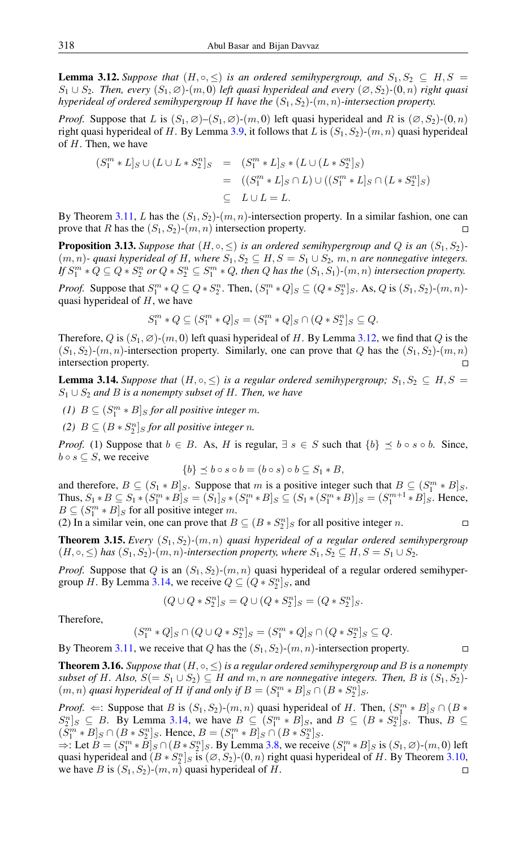<span id="page-10-0"></span>**Lemma 3.12.** *Suppose that*  $(H, \circ, \leq)$  *is an ordered semihypergroup, and*  $S_1, S_2 \subseteq H, S =$  $S_1$  ∪  $S_2$ . Then, every  $(S_1, \emptyset)$ - $(m, 0)$  *left quasi hyperideal and every*  $(\emptyset, S_2)$ - $(0, n)$  *right quasi hyperideal of ordered semihypergroup* H *have the*  $(S_1, S_2)$ - $(m, n)$ -intersection property.

*Proof.* Suppose that L is  $(S_1, \emptyset)$ – $(S_1, \emptyset)$ - $(m, 0)$  left quasi hyperideal and R is  $(\emptyset, S_2)$ – $(0, n)$ right quasi hyperideal of H. By Lemma [3.9,](#page-7-1) it follows that L is  $(S_1, S_2)$ - $(m, n)$  quasi hyperideal of  $H$ . Then, we have

$$
(S_1^m * L]_S \cup (L \cup L * S_2^n]_S = (S_1^m * L]_S * (L \cup (L * S_2^n]_S)
$$
  
= ((S\_1^m \* L]\_S \cap L) \cup ((S\_1^m \* L]\_S \cap (L \* S\_2^n]\_S)  

$$
\subseteq L \cup L = L.
$$

By Theorem [3.11,](#page-8-0) L has the  $(S_1, S_2)$ - $(m, n)$ -intersection property. In a similar fashion, one can prove that R has the  $(S_1, S_2)$ - $(m, n)$  intersection property.  $\Box$ 

**Proposition 3.13.** Suppose that  $(H, \circ, \leq)$  *is an ordered semihypergroup and Q is an*  $(S_1, S_2)$ *-* $(m, n)$ - quasi hyperideal of H, where  $S_1, S_2 \subseteq H, S = S_1 \cup S_2, m, n$  are nonnegative integers. If  $S_1^m * Q \subseteq Q * S_2^n$  or  $Q * S_2^n \subseteq S_1^m * Q$ , then  $Q$  has the  $(S_1, S_1)$ *-* $(m, n)$  intersection property.

*Proof.* Suppose that  $S_1^m * Q \subseteq Q * S_2^n$ . Then,  $(S_1^m * Q]_S \subseteq (Q * S_2^n]_S$ . As, Q is  $(S_1, S_2)$ - $(m, n)$ quasi hyperideal of  $H$ , we have

$$
S_1^m * Q \subseteq (S_1^m * Q]_S = (S_1^m * Q]_S \cap (Q * S_2^n]_S \subseteq Q.
$$

Therefore, Q is  $(S_1, \emptyset)$ - $(m, 0)$  left quasi hyperideal of H. By Lemma [3.12,](#page-10-0) we find that Q is the  $(S_1, S_2)$ - $(m, n)$ -intersection property. Similarly, one can prove that Q has the  $(S_1, S_2)$ - $(m, n)$ intersection property.  $\Box$ 

<span id="page-10-1"></span>**Lemma 3.14.** *Suppose that*  $(H, \circ, \leq)$  *is a regular ordered semihypergroup;*  $S_1, S_2 \subseteq H, S =$ S<sup>1</sup> ∪ S<sup>2</sup> *and* B *is a nonempty subset of* H*. Then, we have*

- (1)  $B \subseteq (S_1^m * B]_S$  *for all positive integer m.*
- (2)  $B \subseteq (B * S_2^n]_S$  *for all positive integer n.*

*Proof.* (1) Suppose that  $b \in B$ . As, H is regular,  $\exists s \in S$  such that  $\{b\} \preceq b \circ s \circ b$ . Since,  $b \circ s \subseteq S$ , we receive

$$
\{b\} \preceq b \circ s \circ b = (b \circ s) \circ b \subseteq S_1 * B,
$$

and therefore,  $B \subseteq (S_1 * B]_S$ . Suppose that m is a positive integer such that  $B \subseteq (S_1^m * B]_S$ . Thus,  $S_1 * B \subseteq S_1 * (S_1^m * B]_S = (S_1|_S * (S_1^m * B]_S \subseteq (S_1 * (S_1^m * B)]_S = (S_1^{m+1} * B]_S$ . Hence,  $B \subseteq (S_1^m * B]_S$  for all positive integer m.  $\Box$ 

(2) In a similar vein, one can prove that  $B \subseteq (B * S_2^n]_S$  for all positive integer *n*.

**Theorem 3.15.** *Every*  $(S_1, S_2)$ - $(m, n)$  *quasi hyperideal of a regular ordered semihypergroup*  $(H, \circ, \leq)$  *has*  $(S_1, S_2)$ *-* $(m, n)$ *-intersection property, where*  $S_1, S_2 \subseteq H, S = S_1 \cup S_2$ *.* 

*Proof.* Suppose that Q is an  $(S_1, S_2)$ - $(m, n)$  quasi hyperideal of a regular ordered semihyper-group H. By Lemma [3.14,](#page-10-1) we receive  $Q \subseteq (Q * S_2^n]_S$ , and

$$
(Q\cup Q*S_2^n]_S=Q\cup (Q*S_2^n]_S=(Q*S_2^n]_S.
$$

Therefore,

(S

$$
S_1^m * Q]_S \cap (Q \cup Q * S_2^n]_S = (S_1^m * Q]_S \cap (Q * S_2^n]_S \subseteq Q.
$$

By Theorem [3.11,](#page-8-0) we receive that Q has the  $(S_1, S_2)$ - $(m, n)$ -intersection property.

**Theorem 3.16.** *Suppose that*  $(H, \circ, \leq)$  *is a regular ordered semihypergroup and B is a nonempty subset of H. Also,*  $S(= S_1 \cup S_2) \subseteq H$  *and*  $m, n$  *are nonnegative integers. Then, B is*  $(S_1, S_2)$ *-* $(m, n)$  *quasi hyperideal of H if and only if*  $B = (S_1^m * B]_S \cap (B * S_2^n]_S$ .

*Proof.*  $\Leftarrow$ : Suppose that *B* is  $(S_1, S_2)$ - $(m, n)$  quasi hyperideal of *H*. Then,  $(S_1^m * B]_S \cap (B * D)$  $S_2^n]_S \subseteq B$ . By Lemma [3.14,](#page-10-1) we have  $B \subseteq (S_1^m * B]_S$ , and  $B \subseteq (B * S_2^n]_S$ . Thus,  $B \subseteq B$ .  $(S_1^m * B]_S \cap (B * S_2^n]_S$ . Hence,  $B = (S_1^m * B]_S \cap (B * S_2^n]_S$ .

 $\Rightarrow$ : Let  $B = (S_1^m * \overline{B}]_S \cap (B * S_2^n]_S$ . By Lemma [3.8,](#page-7-0) we receive  $(S_1^m * B]_S$  is  $(S_1, \emptyset)$ - $(m, 0)$  left quasi hyperideal and  $(B * S_2^n]_S$  is  $(\emptyset, S_2)$ - $(0, n)$  right quasi hyperideal of H. By Theorem [3.10,](#page-8-1) we have B is  $(S_1, S_2)$ - $(m, n)$  quasi hyperideal of H.  $\Box$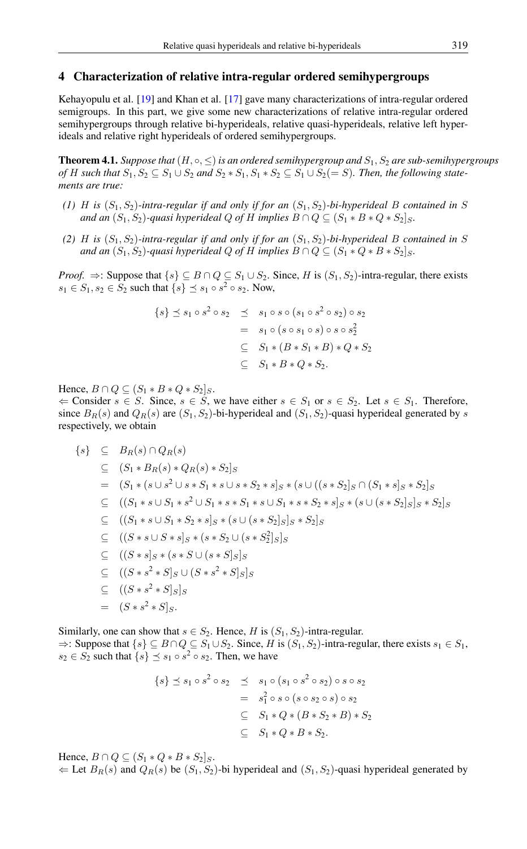## 4 Characterization of relative intra-regular ordered semihypergroups

Kehayopulu et al. [\[19\]](#page-13-19) and Khan et al. [\[17\]](#page-13-12) gave many characterizations of intra-regular ordered semigroups. In this part, we give some new characterizations of relative intra-regular ordered semihypergroups through relative bi-hyperideals, relative quasi-hyperideals, relative left hyperideals and relative right hyperideals of ordered semihypergroups.

Theorem 4.1. *Suppose that*(H, ◦, ≤)*is an ordered semihypergroup and* S1, S<sup>2</sup> *are sub-semihypergroups of H* such that  $S_1, S_2 \subseteq S_1 \cup S_2$  and  $S_2 * S_1, S_1 * S_2 \subseteq S_1 \cup S_2 (= S)$ . Then, the following state*ments are true:*

- *(1)* H is  $(S_1, S_2)$ -intra-regular if and only if for an  $(S_1, S_2)$ -bi-hyperideal B contained in S *and an*  $(S_1, S_2)$ -quasi hyperideal Q of H implies  $B \cap Q \subseteq (S_1 * B * Q * S_2)$ <sub>S</sub>.
- (2) *H* is  $(S_1, S_2)$ -intra-regular if and only if for an  $(S_1, S_2)$ -bi-hyperideal *B* contained in *S and an*  $(S_1, S_2)$ -quasi hyperideal Q of H implies  $B \cap Q \subseteq (S_1 * Q * B * S_2]_S$ .

*Proof.*  $\Rightarrow$ : Suppose that  $\{s\} \subseteq B \cap Q \subseteq S_1 \cup S_2$ . Since, H is  $(S_1, S_2)$ -intra-regular, there exists  $s_1$  ∈  $S_1$ ,  $s_2$  ∈  $S_2$  such that  $\{s\}$   $\preceq$   $s_1 \circ s^2 \circ s_2$ . Now,

$$
\{s\} \preceq s_1 \circ s^2 \circ s_2 \preceq s_1 \circ s \circ (s_1 \circ s^2 \circ s_2) \circ s_2
$$
  
=  $s_1 \circ (s \circ s_1 \circ s) \circ s \circ s_2^2$   

$$
\subseteq S_1 * (B * S_1 * B) * Q * S_2
$$
  

$$
\subseteq S_1 * B * Q * S_2.
$$

Hence,  $B \cap Q \subseteq (S_1 * B * Q * S_2]_S$ .

 $\Leftarrow$  Consider  $s \in S$ . Since,  $s \in S$ , we have either  $s \in S_1$  or  $s \in S_2$ . Let  $s \in S_1$ . Therefore, since  $B_R(s)$  and  $Q_R(s)$  are  $(S_1, S_2)$ -bi-hyperideal and  $(S_1, S_2)$ -quasi hyperideal generated by s respectively, we obtain

$$
\{s\} \subseteq B_R(s) \cap Q_R(s)
$$
  
\n
$$
\subseteq (S_1 * B_R(s) * Q_R(s) * S_2]_S
$$
  
\n
$$
= (S_1 * (s \cup s^2 \cup s * S_1 * s \cup s * S_2 * s]_S * (s \cup ((s * S_2]_S \cap (S_1 * s]_S * S_2]_S
$$
  
\n
$$
\subseteq ((S_1 * s \cup S_1 * s^2 \cup S_1 * s * S_1 * s \cup S_1 * s * S_2 * s]_S * (s \cup (s * S_2]_S]_S * S_2]_S
$$
  
\n
$$
\subseteq ((S_1 * s \cup S_1 * S_2 * s]_S * (s \cup (s * S_2]_S]_S * S_2]_S
$$
  
\n
$$
\subseteq ((S * s \cup S * s]_S * (s * S_2 \cup (s * S_2^2]_S]_S
$$
  
\n
$$
\subseteq ((S * s]_S * (s * S \cup (s * s]_S)_S
$$
  
\n
$$
\subseteq ((S * s^2 * S]_S \cup (S * s^2 * S]_S]_S
$$
  
\n
$$
= (S * s^2 * S]_S.
$$

Similarly, one can show that  $s \in S_2$ . Hence, H is  $(S_1, S_2)$ -intra-regular.

 $\Rightarrow$ : Suppose that  $\{s\} \subseteq B \cap Q \subseteq S_1 \cup S_2$ . Since, H is  $(S_1, S_2)$ -intra-regular, there exists  $s_1 \in S_1$ ,  $s_2 \in S_2$  such that  $\{s\} \preceq s_1 \circ s^2 \circ s_2$ . Then, we have

$$
\{s\} \preceq s_1 \circ s^2 \circ s_2 \preceq s_1 \circ (s_1 \circ s^2 \circ s_2) \circ s \circ s_2
$$
  
=  $s_1^2 \circ s \circ (s \circ s_2 \circ s) \circ s_2$   

$$
\subseteq S_1 * Q * (B * S_2 * B) * S_2
$$
  

$$
\subseteq S_1 * Q * B * S_2.
$$

Hence,  $B \cap Q \subseteq (S_1 * Q * B * S_2]_S$ .

 $\Leftarrow$  Let  $B_R(s)$  and  $Q_R(s)$  be  $(S_1, S_2)$ -bi hyperideal and  $(S_1, S_2)$ -quasi hyperideal generated by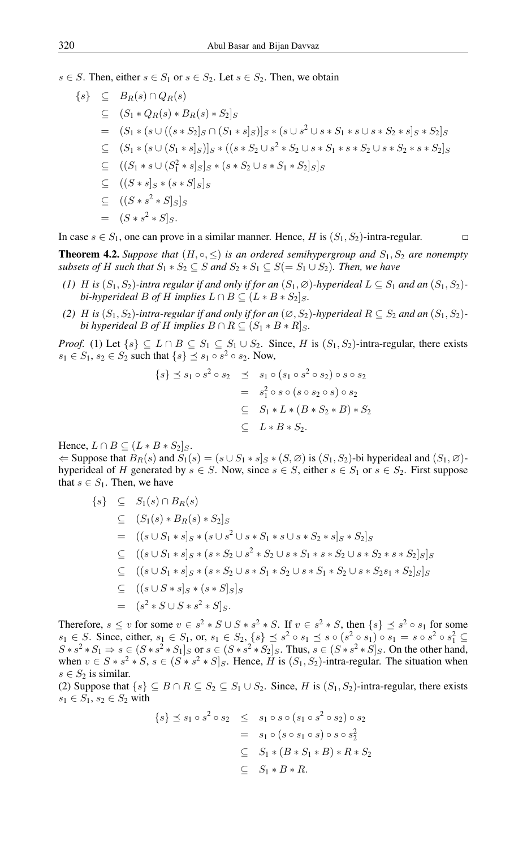$s \in S$ . Then, either  $s \in S_1$  or  $s \in S_2$ . Let  $s \in S_2$ . Then, we obtain

$$
\{s\} \subseteq B_R(s) \cap Q_R(s)
$$
  
\n
$$
\subseteq (S_1 * Q_R(s) * B_R(s) * S_2]_S
$$
  
\n
$$
= (S_1 * (s \cup ((s * S_2]_S \cap (S_1 * s]_S))_S * (s \cup s^2 \cup s * S_1 * s \cup s * S_2 * s]_S * S_2]_S
$$
  
\n
$$
\subseteq (S_1 * (s \cup (S_1 * s]_S))_S * ((s * S_2 \cup s^2 * S_2 \cup s * S_1 * s * S_2 \cup s * S_2 * s * S_2)]_S
$$
  
\n
$$
\subseteq ((S_1 * s \cup (S_1^2 * s]_S)_S * (s * S_2 \cup s * S_1 * S_2]_S]_S
$$
  
\n
$$
\subseteq ((S * s]_S * (s * S]_S)_S
$$
  
\n
$$
\subseteq ((S * s^2 * S]_S)_S
$$
  
\n
$$
= (S * s^2 * S]_S.
$$

In case  $s \in S_1$ , one can prove in a similar manner. Hence, H is  $(S_1, S_2)$ -intra-regular.  $\Box$ 

**Theorem 4.2.** *Suppose that*  $(H, \circ, \leq)$  *is an ordered semihypergroup and*  $S_1, S_2$  *are nonempty subsets of* H *such that*  $S_1 * S_2 \subseteq S$  *and*  $S_2 * S_1 \subseteq S (= S_1 \cup S_2)$ *. Then, we have* 

- *(1) H is* ( $S_1, S_2$ *)-intra regular if and only if for an* ( $S_1, \emptyset$ *)-hyperideal*  $L \subseteq S_1$  *and an* ( $S_1, S_2$ *)bi-hyperideal* B *of* H *implies*  $L \cap B \subseteq (L * B * S_2)$ <sub>S</sub>.
- *(2) H is*  $(S_1, S_2)$ *-intra-regular if and only if for an*  $(\emptyset, S_2)$ *-hyperideal*  $R \subseteq S_2$  *and an*  $(S_1, S_2)$ *bi hyperideal B of H implies*  $B \cap R \subseteq (S_1 * B * R]_S$ .

*Proof.* (1) Let  $\{s\} \subseteq L \cap B \subseteq S_1 \subseteq S_1 \cup S_2$ . Since, H is  $(S_1, S_2)$ -intra-regular, there exists  $s_1$  ∈  $S_1$ ,  $s_2$  ∈  $S_2$  such that  $\{s\}$   $\preceq$   $s_1 \circ s^2 \circ s_2$ . Now,

$$
\{s\} \preceq s_1 \circ s^2 \circ s_2 \preceq s_1 \circ (s_1 \circ s^2 \circ s_2) \circ s \circ s_2
$$
  
=  $s_1^2 \circ s \circ (s \circ s_2 \circ s) \circ s_2$   

$$
\subseteq S_1 * L * (B * S_2 * B) * S_2
$$
  

$$
\subseteq L * B * S_2.
$$

Hence,  $L \cap B \subseteq (L * B * S_2]_S$ .

 $\Leftarrow$  Suppose that  $B_R(s)$  and  $S_1(s) = (s \cup S_1 * s]_S * (S, \emptyset)$  is  $(S_1, S_2)$ -bi hyperideal and  $(S_1, \emptyset)$ hyperideal of H generated by  $s \in S$ . Now, since  $s \in S$ , either  $s \in S_1$  or  $s \in S_2$ . First suppose that  $s \in S_1$ . Then, we have

$$
\{s\} \subseteq S_1(s) \cap B_R(s)
$$
  
\n
$$
\subseteq (S_1(s) * B_R(s) * S_2]_S
$$
  
\n
$$
= ((s \cup S_1 * s]_S * (s \cup s^2 \cup s * S_1 * s \cup s * S_2 * s]_S * S_2]_S
$$
  
\n
$$
\subseteq ((s \cup S_1 * s]_S * (s * S_2 \cup s^2 * S_2 \cup s * S_1 * s * S_2 \cup s * S_2 * s * S_2]_S]_S
$$
  
\n
$$
\subseteq ((s \cup S_1 * s]_S * (s * S_2 \cup s * S_1 * S_2 \cup s * S_1 * S_2 \cup s * S_2 s_1 * S_2]_S]_S
$$
  
\n
$$
\subseteq ((s \cup S * s]_S * (s * S]_S]_S
$$
  
\n
$$
= (s^2 * S \cup S * s^2 * S]_S.
$$

Therefore,  $s \le v$  for some  $v \in s^2 * S \cup S * s^2 * S$ . If  $v \in s^2 * S$ , then  $\{s\} \preceq s^2 \circ s_1$  for some  $s_1 \in S$ . Since, either,  $s_1 \in S_1$ , or,  $s_1 \in S_2$ ,  $\{s\} \preceq s^2 \circ s_1 \preceq s \circ (s^2 \circ s_1) \circ s_1 = s \circ s^2 \circ s_1^2$  ⊆  $S*s^2*S_1\Rightarrow s\in (S*s^2*S_1]_S$  or  $s\in (S*s^2*S_2]_S$ . Thus,  $s\in (S*s^2*S]_S$ . On the other hand, when  $v \in S * s^2 * S$ ,  $s \in (S * s^2 * S]_S$ . Hence, H is  $(S_1, S_2)$ -intra-regular. The situation when  $s \in S_2$  is similar.

(2) Suppose that  $\{s\} \subseteq B \cap R \subseteq S_2 \subseteq S_1 \cup S_2$ . Since, H is  $(S_1, S_2)$ -intra-regular, there exists  $s_1 \in S_1, s_2 \in S_2$  with

$$
\{s\} \preceq s_1 \circ s^2 \circ s_2 \leq s_1 \circ s \circ (s_1 \circ s^2 \circ s_2) \circ s_2
$$
  
=  $s_1 \circ (s \circ s_1 \circ s) \circ s \circ s_2^2$   

$$
\subseteq S_1 * (B * S_1 * B) * R * S_2
$$
  

$$
\subseteq S_1 * B * R.
$$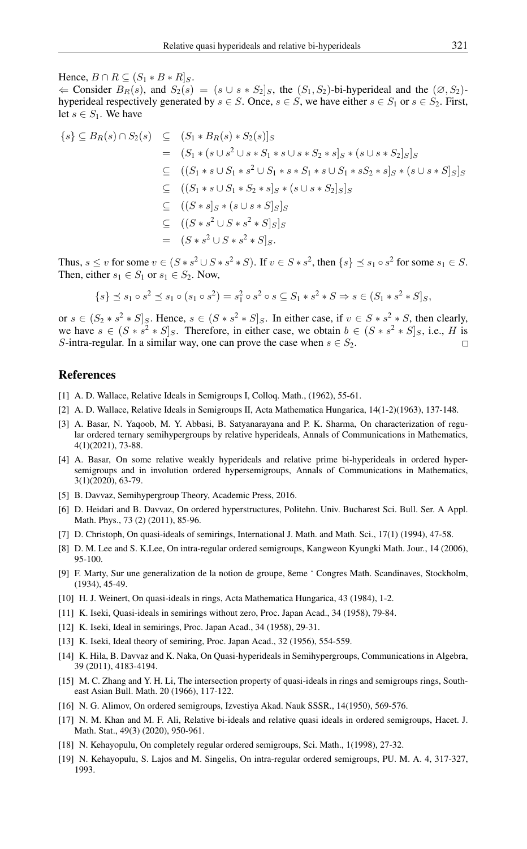$\Leftarrow$  Consider  $B_R(s)$ , and  $S_2(s) = (s \cup s * S_2 | s$ , the  $(S_1, S_2)$ -bi-hyperideal and the  $(\emptyset, S_2)$ hyperideal respectively generated by  $s \in S$ . Once,  $s \in S$ , we have either  $s \in S_1$  or  $s \in S_2$ . First, let  $s \in S_1$ . We have

$$
\{s\} \subseteq B_R(s) \cap S_2(s) \subseteq (S_1 * B_R(s) * S_2(s)]_S
$$
  
=  $(S_1 * (s \cup s^2 \cup s * S_1 * s \cup s * S_2 * s]_S * (s \cup s * S_2]_S]_S$   

$$
\subseteq ((S_1 * s \cup S_1 * s^2 \cup S_1 * s * S_1 * s \cup S_1 * s S_2 * s]_S * (s \cup s * S]_S]_S
$$
  

$$
\subseteq ((S_1 * s \cup S_1 * S_2 * s]_S * (s \cup s * S_2]_S]_S
$$
  

$$
\subseteq ((S * s]_S * (s \cup s * S]_S]_S
$$
  

$$
\subseteq ((S * s^2 \cup S * s^2 * S]_S]_S
$$
  

$$
= (S * s^2 \cup S * s^2 * S]_S.
$$

Thus,  $s \le v$  for some  $v \in (S * s^2 \cup S * s^2 * S)$ . If  $v \in S * s^2$ , then  $\{s\} \preceq s_1 \circ s^2$  for some  $s_1 \in S$ . Then, either  $s_1 \in S_1$  or  $s_1 \in S_2$ . Now,

$$
\{s\} \preceq s_1 \circ s^2 \preceq s_1 \circ (s_1 \circ s^2) = s_1^2 \circ s^2 \circ s \subseteq S_1 * s^2 * S \Rightarrow s \in (S_1 * s^2 * S]_S,
$$

or  $s \in (S_2 * s^2 * S]_S$ . Hence,  $s \in (S * s^2 * S]_S$ . In either case, if  $v \in S * s^2 * S$ , then clearly, we have  $s \in (S * s^2 * S]_S$ . Therefore, in either case, we obtain  $b \in (S * s^2 * S]_S$ , i.e., H is S-intra-regular. In a similar way, one can prove the case when  $s \in S_2$ .  $\Box$ 

## <span id="page-13-0"></span>References

- <span id="page-13-10"></span>[1] A. D. Wallace, Relative Ideals in Semigroups I, Colloq. Math., (1962), 55-61.
- <span id="page-13-11"></span>[2] A. D. Wallace, Relative Ideals in Semigroups II, Acta Mathematica Hungarica, 14(1-2)(1963), 137-148.
- <span id="page-13-16"></span>[3] A. Basar, N. Yaqoob, M. Y. Abbasi, B. Satyanarayana and P. K. Sharma, On characterization of regular ordered ternary semihypergroups by relative hyperideals, Annals of Communications in Mathematics, 4(1)(2021), 73-88.
- <span id="page-13-18"></span>[4] A. Basar, On some relative weakly hyperideals and relative prime bi-hyperideals in ordered hypersemigroups and in involution ordered hypersemigroups, Annals of Communications in Mathematics, 3(1)(2020), 63-79.
- <span id="page-13-17"></span>[5] B. Davvaz, Semihypergroup Theory, Academic Press, 2016.
- <span id="page-13-15"></span>[6] D. Heidari and B. Davvaz, On ordered hyperstructures, Politehn. Univ. Bucharest Sci. Bull. Ser. A Appl. Math. Phys., 73 (2) (2011), 85-96.
- <span id="page-13-5"></span>[7] D. Christoph, On quasi-ideals of semirings, International J. Math. and Math. Sci., 17(1) (1994), 47-58.
- <span id="page-13-7"></span>[8] D. M. Lee and S. K.Lee, On intra-regular ordered semigroups, Kangweon Kyungki Math. Jour., 14 (2006), 95-100.
- <span id="page-13-13"></span>[9] F. Marty, Sur une generalization de la notion de groupe, 8eme ' Congres Math. Scandinaves, Stockholm, (1934), 45-49.
- <span id="page-13-6"></span>[10] H. J. Weinert, On quasi-ideals in rings, Acta Mathematica Hungarica, 43 (1984), 1-2.
- <span id="page-13-2"></span>[11] K. Iseki, Quasi-ideals in semirings without zero, Proc. Japan Acad., 34 (1958), 79-84.
- <span id="page-13-3"></span>[12] K. Iseki, Ideal in semirings, Proc. Japan Acad., 34 (1958), 29-31.
- <span id="page-13-4"></span>[13] K. Iseki, Ideal theory of semiring, Proc. Japan Acad., 32 (1956), 554-559.
- <span id="page-13-14"></span>[14] K. Hila, B. Davvaz and K. Naka, On Quasi-hyperideals in Semihypergroups, Communications in Algebra, 39 (2011), 4183-4194.
- <span id="page-13-1"></span>[15] M. C. Zhang and Y. H. Li, The intersection property of quasi-ideals in rings and semigroups rings, Southeast Asian Bull. Math. 20 (1966), 117-122.
- <span id="page-13-8"></span>[16] N. G. Alimov, On ordered semigroups, Izvestiya Akad. Nauk SSSR., 14(1950), 569-576.
- <span id="page-13-12"></span>[17] N. M. Khan and M. F. Ali, Relative bi-ideals and relative quasi ideals in ordered semigroups, Hacet. J. Math. Stat., 49(3) (2020), 950-961.
- <span id="page-13-9"></span>[18] N. Kehayopulu, On completely regular ordered semigroups, Sci. Math., 1(1998), 27-32.
- <span id="page-13-19"></span>[19] N. Kehayopulu, S. Lajos and M. Singelis, On intra-regular ordered semigroups, PU. M. A. 4, 317-327, 1993.